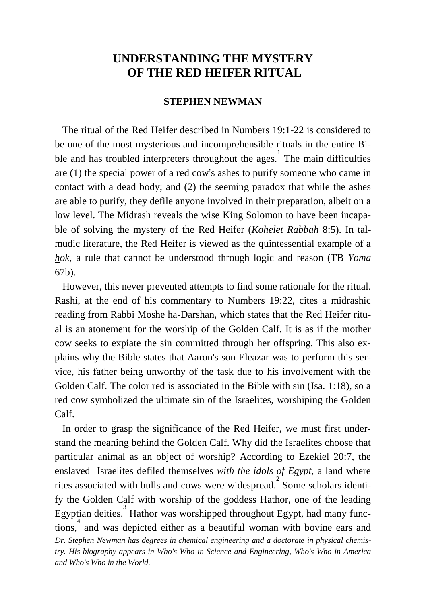# **UNDERSTANDING THE MYSTERY OF THE RED HEIFER RITUAL**

### **STEPHEN NEWMAN**

 The ritual of the Red Heifer described in Numbers 19:1-22 is considered to be one of the most mysterious and incomprehensible rituals in the entire Bible and has troubled interpreters throughout the ages. The main difficulties are (1) the special power of a red cow's ashes to purify someone who came in contact with a dead body; and (2) the seeming paradox that while the ashes are able to purify, they defile anyone involved in their preparation, albeit on a low level. The Midrash reveals the wise King Solomon to have been incapable of solving the mystery of the Red Heifer (*Kohelet Rabbah* 8:5). In talmudic literature, the Red Heifer is viewed as the quintessential example of a *hok*, a rule that cannot be understood through logic and reason (TB *Yoma* 67b).

 However, this never prevented attempts to find some rationale for the ritual. Rashi, at the end of his commentary to Numbers 19:22, cites a midrashic reading from Rabbi Moshe ha-Darshan, which states that the Red Heifer ritual is an atonement for the worship of the Golden Calf. It is as if the mother cow seeks to expiate the sin committed through her offspring. This also explains why the Bible states that Aaron's son Eleazar was to perform this service, his father being unworthy of the task due to his involvement with the Golden Calf. The color red is associated in the Bible with sin (Isa. 1:18), so a red cow symbolized the ultimate sin of the Israelites, worshiping the Golden Calf.

*Dr. Stephen Newman has degrees in chemical engineering and a doctorate in physical chemistry. His biography appears in Who's Who in Science and Engineering, Who's Who in America and Who's Who in the World.* In order to grasp the significance of the Red Heifer, we must first understand the meaning behind the Golden Calf. Why did the Israelites choose that particular animal as an object of worship? According to Ezekiel 20:7, the enslaved Israelites defiled themselves *with the idols of Egypt*, a land where rites associated with bulls and cows were widespread. Some scholars identify the Golden Calf with worship of the goddess Hathor, one of the leading Egyptian deities.<sup>3</sup> Hathor was worshipped throughout Egypt, had many func- $\frac{1}{4}$  and was depicted either as a beautiful woman with bovine ears and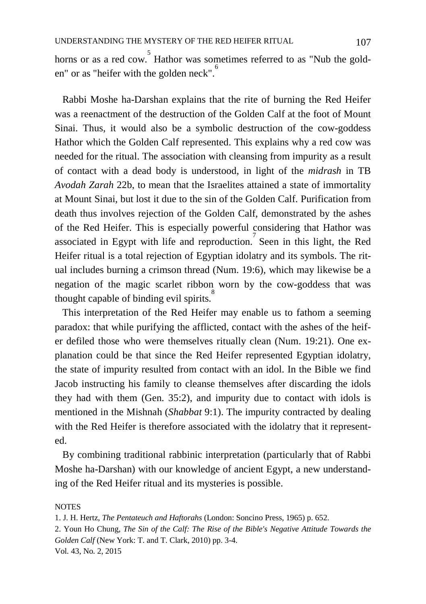horns or as a red cow. Hathor was sometimes referred to as "Nub the golden" or as "heifer with the golden neck".

 Rabbi Moshe ha-Darshan explains that the rite of burning the Red Heifer was a reenactment of the destruction of the Golden Calf at the foot of Mount Sinai. Thus, it would also be a symbolic destruction of the cow-goddess Hathor which the Golden Calf represented. This explains why a red cow was needed for the ritual. The association with cleansing from impurity as a result of contact with a dead body is understood, in light of the *midrash* in TB *Avodah Zarah* 22b, to mean that the Israelites attained a state of immortality at Mount Sinai, but lost it due to the sin of the Golden Calf. Purification from death thus involves rejection of the Golden Calf, demonstrated by the ashes of the Red Heifer. This is especially powerful considering that Hathor was associated in Egypt with life and reproduction.<sup>7</sup> Seen in this light, the Red Heifer ritual is a total rejection of Egyptian idolatry and its symbols. The ritual includes burning a crimson thread (Num. 19:6), which may likewise be a negation of the magic scarlet ribbon worn by the cow-goddess that was thought capable of binding evil spirits. $\overrightarrow{S}$ 

 This interpretation of the Red Heifer may enable us to fathom a seeming paradox: that while purifying the afflicted, contact with the ashes of the heifer defiled those who were themselves ritually clean (Num. 19:21). One explanation could be that since the Red Heifer represented Egyptian idolatry, the state of impurity resulted from contact with an idol. In the Bible we find Jacob instructing his family to cleanse themselves after discarding the idols they had with them (Gen. 35:2), and impurity due to contact with idols is mentioned in the Mishnah (*Shabbat* 9:1). The impurity contracted by dealing with the Red Heifer is therefore associated with the idolatry that it represented.

 By combining traditional rabbinic interpretation (particularly that of Rabbi Moshe ha-Darshan) with our knowledge of ancient Egypt, a new understanding of the Red Heifer ritual and its mysteries is possible.

#### **NOTES**

Vol. 43, No. 2, 2015 1. J. H. Hertz, *The Pentateuch and Haftorahs* (London: Soncino Press, 1965) p. 652. 2. Youn Ho Chung, *The Sin of the Calf: The Rise of the Bible's Negative Attitude Towards the Golden Calf* (New York: T. and T. Clark, 2010) pp. 3-4.